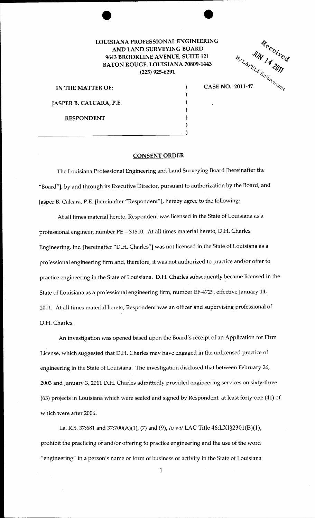## LOUISIANA PROFESSIONAL ENGINEERING AND LAND SURVEYING BOARD 9643 BROOKLINE AVENUE, SUITE 121 BATON ROUGE, LOUISIANA 70809-1443 (225) 925-6291

) ) ) ) )

IN THE MATTER OF: JASPER B. CALCARA, P.E. RESPONDENT  $\frac{1}{2}$  RING<br>
21<br>
443<br>  $\begin{array}{cc} \mathcal{E}_{\mathcal{F}} & \mathcal{U}_{\mathcal{N}} \\ \mathcal{E}_{\mathcal{F}} & \mathcal{U}_{\mathcal{N}} \\ \mathcal{E}_{\mathcal{E}_{\mathcal{L}} & \mathcal{E}_{\mathcal{E}} \\ \mathcal{E}_{\mathcal{E}_{\mathcal{L}} & \mathcal{E}_{\mathcal{E}} \\ \mathcal{E}_{\mathcal{E}_{\mathcal{L}} & \mathcal{E}_{\mathcal{E}} \\ \mathcal{E}_{\mathcal{E}_{\mathcal{L}} & \mathcal{E}_{\mathcal{E}} \\ \mathcal{E}_{\mathcal{E}_{\mathcal{L}}$ 

## CONSENT ORDER

The Louisiana Professional Engineering and Land Surveying Board [hereinafter the "Board"], by and through its Executive Director, pursuant to authorization by the Board, and Jasper B. Calcara, P.E. [hereinafter "Respondent"], hereby agree to the following:

At all times material hereto, Respondent was licensed in the State of Louisiana as a professional engineer, number PE- 31510. At all times material hereto, D.H. Charles Engineering, Inc. [hereinafter "D.H. Charles"] was not licensed in the State of Louisiana as a professional engineering firm and, therefore, it was not authorized to practice and/or offer to practice engineering in the State of Louisiana. D.H. Charles subsequently became licensed in the State of Louisiana as a professional engineering firm, number EF-4729, effective January 14, 2011. At all times material hereto, Respondent was an officer and supervising professional of D.H. Charles.

An investigation was opened based upon the Board's receipt of an Application for Firm License, which suggested that D.H. Charles may have engaged in the unlicensed practice of engineering in the State of Louisiana. The investigation disclosed that between February 26, 2003 and January 3, 2011 D.H. Charles admittedly provided engineering services on sixty-three (63) projects in Louisiana which were sealed and signed by Respondent, at least forty-one (41) of which were after 2006.

La. R.S. 37:681 and 37:700(A)(1), (7) and (9), *to wit* LAC Title 46:LXI§2301(B)(l), prohibit the practicing of and/or offering to practice engineering and the use of the word "engineering" in a person's name or form of business or activity in the State of Louisiana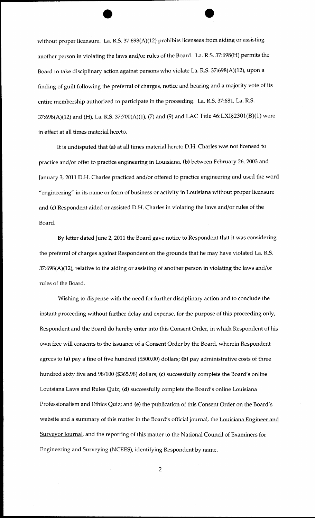without proper licensure. La. R.S. 37:698(A)(12) prohibits licensees from aiding or assisting another person in violating the laws and/or rules of the Board. La. R.S. 37:698(H) permits the Board to take disciplinary action against persons who violate La. R.S. 37:698(A)(12), upon a finding of guilt following the preferral of charges, notice and hearing and a majority vote of its entire membership authorized to participate in the proceeding. La. R.S. 37:681, La. R.S. 37:698(A)(12) and (H), La. R.S. 37:700(A)(1), (7) and (9) and LAC Title 46:LXI§2301(B)(l) were in effect at all times material hereto.

It is undisputed that (a) at all times material hereto D.H. Charles was not licensed to practice and/or offer to practice engineering in Louisiana, (b) between February 26, 2003 and January 3, 2011 D.H. Charles practiced and/or offered to practice engineering and used the word "engineering" in its name or form of business or activity in Louisiana without proper licensure and (c) Respondent aided or assisted D.H. Charles in violating the laws and/or rules of the Board.

By letter dated June 2, 2011 the Board gave notice to Respondent that it was considering the preferral of charges against Respondent on the grounds that he may have violated La. R.S. 37:698(A)(12), relative to the aiding or assisting of another person in violating the laws and/or rules of the Board.

Wishing to dispense with the need for further disciplinary action and to conclude the instant proceeding without further delay and expense, for the purpose of this proceeding only, Respondent and the Board do hereby enter into this Consent Order, in which Respondent of his own free will consents to the issuance of a Consent Order by the Board, wherein Respondent agrees to (a) pay a fine of five hundred (\$500.00) dollars; (b) pay administrative costs of three hundred sixty five and 98/100 (\$365.98) dollars; (c) successfully complete the Board's online Louisiana Laws and Rules Quiz; (d) successfully complete the Board's online Louisiana Professionalism and Ethics Quiz; and (e) the publication of this Consent Order on the Board's website and a summary of this matter in the Board's official journal, the Louisiana Engineer and Surveyor Journal, and the reporting of this matter to the National Council of Examiners for Engineering and Surveying (NCEES), identifying Respondent by name.

2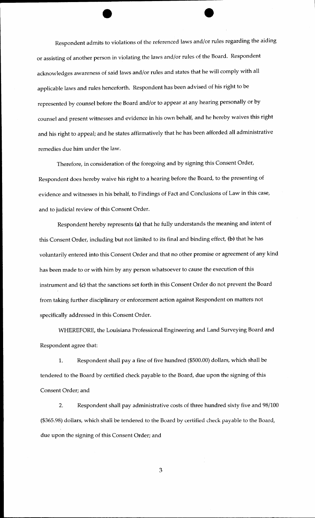Respondent admits to violations of the referenced laws and/or rules regarding the aiding or assisting of another person in violating the laws and/or rules of the Board. Respondent acknowledges awareness of said laws and/or rules and states that he will comply with all applicable laws and rules henceforth. Respondent has been advised of his right to be represented by counsel before the Board and/or to appear at any hearing personally or by counsel and present witnesses and evidence in his own behalf, and he hereby waives this right and his right to appeal; and he states affirmatively that he has been afforded all administrative remedies due him under the law.

Therefore, in consideration of the foregoing and by signing this Consent Order, Respondent does hereby waive his right to a hearing before the Board, to the presenting of evidence and witnesses in his behalf, to Findings of Fact and Conclusions of Law in this case, and to judicial review of this Consent Order.

Respondent hereby represents (a) that he fully understands the meaning and intent of this Consent Order, including but not limited to its final and binding effect, (b) that he has voluntarily entered into this Consent Order and that no other promise or agreement of any kind has been made to or with him by any person whatsoever to cause the execution of this instrument and (c) that the sanctions set forth in this Consent Order do not prevent the Board from taking further disciplinary or enforcement action against Respondent on matters not specifically addressed in this Consent Order.

WHEREFORE, the Louisiana Professional Engineering and Land Surveying Board and Respondent agree that:

1. Respondent shall pay a fine of five hundred (\$500.00) dollars, which shall be tendered to the Board by certified check payable to the Board, due upon the signing of this Consent Order; and

2. Respondent shall pay administrative costs of three hundred sixty five and 98/100 (\$365.98) doilars, which shall be tendered to the Board by certified check payable to the Board, due upon the signing of this Consent Order; and

3